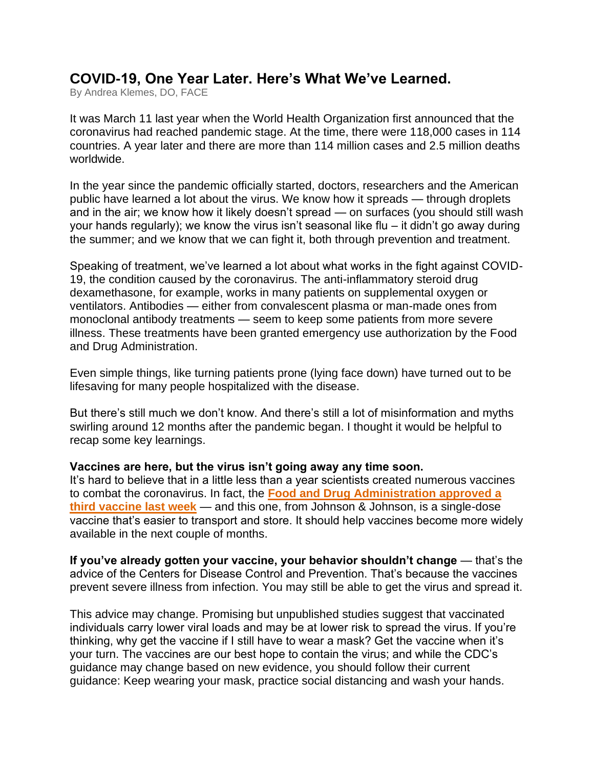# **COVID-19, One Year Later. Here's What We've Learned.**

By Andrea Klemes, DO, FACE

It was March 11 last year when the World Health Organization first announced that the coronavirus had reached pandemic stage. At the time, there were 118,000 cases in 114 countries. A year later and there are more than 114 million cases and 2.5 million deaths worldwide.

In the year since the pandemic officially started, doctors, researchers and the American public have learned a lot about the virus. We know how it spreads — through droplets and in the air; we know how it likely doesn't spread — on surfaces (you should still wash your hands regularly); we know the virus isn't seasonal like flu – it didn't go away during the summer; and we know that we can fight it, both through prevention and treatment.

Speaking of treatment, we've learned a lot about what works in the fight against COVID-19, the condition caused by the coronavirus. The anti-inflammatory steroid drug dexamethasone, for example, works in many patients on supplemental oxygen or ventilators. Antibodies — either from convalescent plasma or man-made ones from monoclonal antibody treatments — seem to keep some patients from more severe illness. These treatments have been granted emergency use authorization by the Food and Drug Administration.

Even simple things, like turning patients prone (lying face down) have turned out to be lifesaving for many people hospitalized with the disease.

But there's still much we don't know. And there's still a lot of misinformation and myths swirling around 12 months after the pandemic began. I thought it would be helpful to recap some key learnings.

#### **Vaccines are here, but the virus isn't going away any time soon.**

It's hard to believe that in a little less than a year scientists created numerous vaccines to combat the coronavirus. In fact, the **[Food and Drug Administration approved a](https://go.mdvip.com/ol/h0lUdMTKdlhd6Bcmud-tEvi7y3iXKMj47vEwRKG1hpxplFhsfeiCdQy93IQBScV0aPqZCAZNQ9ZlyQgFSqaGct0QvPBUDxynVjL8j7PUPd8cJOdT2tRy-uar3XRDv9SGzw2YXhZcEiQqZw6YarQTkTC6Y8BzB1XXqz3ELZMxnXVOw_s,/jUhReMLPKllNoVdlsbPWNb760TjEbJG49b9yBLjn0MArzQVzdvrGKA7thNxWU5g9beeNDgxdGZ9pzh9XFK2Wc5ZJ_rhLCkKxUTX6zaDKf59BZ7F3kclk7a22lWgKvZCLhhHbBl0FUy55cAuiar4tlDzuN55-fDa413rTc4YujHMdkbA71Z2laba67y6D2nLvyAq7JFV88MTd61GsV4x-lugMukUt_V17eO336jmBw7E18jMv-NNkggl99fkvLc1-6QPEU2Lu75vHW-dlH5iWsfveidMcWj1nk6skSk_wCH3kBNuTTTRQ3DefvTc8BxVqHgl-AN96swPd7i1vQ-8mVSLgiB4A_ksl3Kx2zNjVkxvBQSriFArwsDKA6leLEbcw8SCAlocnyCn0IirM2f5GdBynO8PwkxebYL_UulEdGdpgVJEFJq7Gx-St74MUtTI,)  [third vaccine last week](https://go.mdvip.com/ol/h0lUdMTKdlhd6Bcmud-tEvi7y3iXKMj47vEwRKG1hpxplFhsfeiCdQy93IQBScV0aPqZCAZNQ9ZlyQgFSqaGct0QvPBUDxynVjL8j7PUPd8cJOdT2tRy-uar3XRDv9SGzw2YXhZcEiQqZw6YarQTkTC6Y8BzB1XXqz3ELZMxnXVOw_s,/jUhReMLPKllNoVdlsbPWNb760TjEbJG49b9yBLjn0MArzQVzdvrGKA7thNxWU5g9beeNDgxdGZ9pzh9XFK2Wc5ZJ_rhLCkKxUTX6zaDKf59BZ7F3kclk7a22lWgKvZCLhhHbBl0FUy55cAuiar4tlDzuN55-fDa413rTc4YujHMdkbA71Z2laba67y6D2nLvyAq7JFV88MTd61GsV4x-lugMukUt_V17eO336jmBw7E18jMv-NNkggl99fkvLc1-6QPEU2Lu75vHW-dlH5iWsfveidMcWj1nk6skSk_wCH3kBNuTTTRQ3DefvTc8BxVqHgl-AN96swPd7i1vQ-8mVSLgiB4A_ksl3Kx2zNjVkxvBQSriFArwsDKA6leLEbcw8SCAlocnyCn0IirM2f5GdBynO8PwkxebYL_UulEdGdpgVJEFJq7Gx-St74MUtTI,)** — and this one, from Johnson & Johnson, is a single-dose vaccine that's easier to transport and store. It should help vaccines become more widely available in the next couple of months.

**If you've already gotten your vaccine, your behavior shouldn't change** — that's the advice of the Centers for Disease Control and Prevention. That's because the vaccines prevent severe illness from infection. You may still be able to get the virus and spread it.

This advice may change. Promising but unpublished studies suggest that vaccinated individuals carry lower viral loads and may be at lower risk to spread the virus. If you're thinking, why get the vaccine if I still have to wear a mask? Get the vaccine when it's your turn. The vaccines are our best hope to contain the virus; and while the CDC's guidance may change based on new evidence, you should follow their current guidance: Keep wearing your mask, practice social distancing and wash your hands.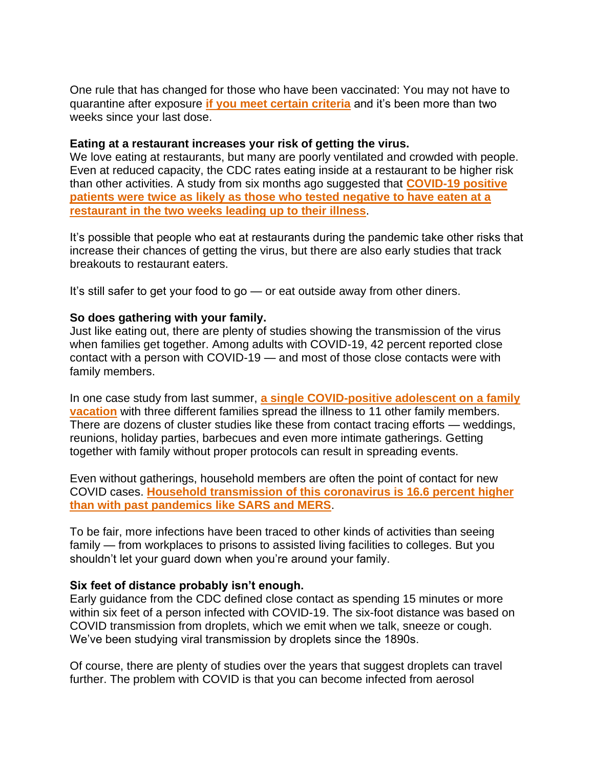One rule that has changed for those who have been vaccinated: You may not have to quarantine after exposure **[if you meet certain criteria](https://go.mdvip.com/ol/h0lWdsHMdlhd6Bcmud-tEvi7y3iXKMj47vEwRKG1hpxplFhsfeiCdQy93IQBScV0aPqZCAZNQ9ZlyQgFSqaGct0QvPBUDxynVjL8j7PUPd8cJOdT2tRy-uar3XRDv9SGzw2YXhZcEiQqZw6YarQTkTC6Ycl2CFTQrj3ELZMxnXVOw_s,/j0FUd8PIL1lNoVdlsbPWNb760TbEedavtKoyH_bl0cYw3FsxcePZMUWi2YoeFZw0aqScGE8AAZ9l1Q9MVeOZdY5J-fRRRkK9Vij2hKTIbplHfrpgksl18qT61WsRlcmNmQHhLW4XbERCUTO-OacOjgzGEbEFCAjW8U_XFKoHjwMKgYsq0qqSWbqEr1KzrReQ2QGKHEJ_sNGsyWaYCJButMVQkmMQuHl0dcvc7STl6Z19gh4Nx98jnxE38dFxA9pBwjWYewG64rrNYNc3aZOdiePilaoPRhdmnIk2LWDLOXDkJ5iP)** and it's been more than two weeks since your last dose.

### **Eating at a restaurant increases your risk of getting the virus.**

We love eating at restaurants, but many are poorly ventilated and crowded with people. Even at reduced capacity, the CDC rates eating inside at a restaurant to be higher risk than other activities. A study from six months ago suggested that **[COVID-19 positive](https://go.mdvip.com/ol/h0lXcczOdlhd6Bcmud-tEvi7y3iXKMj47vEwRKG1hpxplFhsfeiCdQy93IQBScV0aPqZCAZNQ9ZlyQgFSqaGct0QvPBUDxynVjL8j7PUPd8cJOdT2tRy-uar3XRDv9SGzw2YXhZcEiQqZw6YarQTkTC6YcZxClbRqj3ELZMxnXVOw_s,/j05TdcHJK1lNoVdlsbPWNb760TbEedavtKoyBPrxwIAo1kRrf-ncdxe2x8RDU58_M7DNVwNFXZh1zVNVEfSqaI9Lp9h5KliebRXKtYKKd6NEQJVS_ec29Pmu7HYkh_mRuV7IP2EKeEhIbTbJSKx412vSBJQLTAHT6kziD6MnlSwnl-wp9Kb7VOG80Fmu5GbtzW2lDGdP15WJ5wS7IZpJiP4jmVABzQkgSNXZ3Gzs5JM8qDYSospehE14-uQkLtN4y0ShTDM,)  patients were twice as [likely as those who tested negative to have eaten at a](https://go.mdvip.com/ol/h0lXcczOdlhd6Bcmud-tEvi7y3iXKMj47vEwRKG1hpxplFhsfeiCdQy93IQBScV0aPqZCAZNQ9ZlyQgFSqaGct0QvPBUDxynVjL8j7PUPd8cJOdT2tRy-uar3XRDv9SGzw2YXhZcEiQqZw6YarQTkTC6YcZxClbRqj3ELZMxnXVOw_s,/j05TdcHJK1lNoVdlsbPWNb760TbEedavtKoyBPrxwIAo1kRrf-ncdxe2x8RDU58_M7DNVwNFXZh1zVNVEfSqaI9Lp9h5KliebRXKtYKKd6NEQJVS_ec29Pmu7HYkh_mRuV7IP2EKeEhIbTbJSKx412vSBJQLTAHT6kziD6MnlSwnl-wp9Kb7VOG80Fmu5GbtzW2lDGdP15WJ5wS7IZpJiP4jmVABzQkgSNXZ3Gzs5JM8qDYSospehE14-uQkLtN4y0ShTDM,)  [restaurant in the two weeks leading up to their illness](https://go.mdvip.com/ol/h0lXcczOdlhd6Bcmud-tEvi7y3iXKMj47vEwRKG1hpxplFhsfeiCdQy93IQBScV0aPqZCAZNQ9ZlyQgFSqaGct0QvPBUDxynVjL8j7PUPd8cJOdT2tRy-uar3XRDv9SGzw2YXhZcEiQqZw6YarQTkTC6YcZxClbRqj3ELZMxnXVOw_s,/j05TdcHJK1lNoVdlsbPWNb760TbEedavtKoyBPrxwIAo1kRrf-ncdxe2x8RDU58_M7DNVwNFXZh1zVNVEfSqaI9Lp9h5KliebRXKtYKKd6NEQJVS_ec29Pmu7HYkh_mRuV7IP2EKeEhIbTbJSKx412vSBJQLTAHT6kziD6MnlSwnl-wp9Kb7VOG80Fmu5GbtzW2lDGdP15WJ5wS7IZpJiP4jmVABzQkgSNXZ3Gzs5JM8qDYSospehE14-uQkLtN4y0ShTDM,)**.

It's possible that people who eat at restaurants during the pandemic take other risks that increase their chances of getting the virus, but there are also early studies that track breakouts to restaurant eaters.

It's still safer to get your food to go — or eat outside away from other diners.

#### **So does gathering with your family.**

Just like eating out, there are plenty of studies showing the transmission of the virus when families get together. Among adults with COVID-19, 42 percent reported close contact with a person with COVID-19 — and most of those close contacts were with family members.

In one case study from last summer, **[a single COVID-positive adolescent on a family](https://go.mdvip.com/ol/h0lUeMTPdlhd6Bcmud-tEvi7y3iXKMj47vEwRKG1hpxplFhsfeiCdQy93IQBScV0aPqZCAZNQ9ZlyQgFSqaGct0QvPBUDxynVjL8j7PUPd8cJOdT2tRy-uar3XRDv9SGzw2YXhZcEiQqZw6YarQTkTC6YcZxClLSqD3ELZMxnXVOw_s,/j05TdcXKKVlNoVdlsbPWNb760TbEedavtKoyBPrxwIAo1kRrf-ncdxe2x8RDU58_M7DKUQdCXZh1zVNVEfSqaI9Lp9h5KliebRXKtYKKd6NEQJVS_ec29Pmu7HYkh_mRuV7IP2EKeEhIbTbJSKx412vSBJQLTAHT6kziD6MnlSwnl-wp9Kb7VOG80Fmu5GbtzW2lDGdP15WJ5wS7IZpJiP4jmVABzQkgSNXZ3Gzs5JM8qDYSospehE14-uQkLtN4y0ShTDM,)  [vacation](https://go.mdvip.com/ol/h0lUeMTPdlhd6Bcmud-tEvi7y3iXKMj47vEwRKG1hpxplFhsfeiCdQy93IQBScV0aPqZCAZNQ9ZlyQgFSqaGct0QvPBUDxynVjL8j7PUPd8cJOdT2tRy-uar3XRDv9SGzw2YXhZcEiQqZw6YarQTkTC6YcZxClLSqD3ELZMxnXVOw_s,/j05TdcXKKVlNoVdlsbPWNb760TbEedavtKoyBPrxwIAo1kRrf-ncdxe2x8RDU58_M7DKUQdCXZh1zVNVEfSqaI9Lp9h5KliebRXKtYKKd6NEQJVS_ec29Pmu7HYkh_mRuV7IP2EKeEhIbTbJSKx412vSBJQLTAHT6kziD6MnlSwnl-wp9Kb7VOG80Fmu5GbtzW2lDGdP15WJ5wS7IZpJiP4jmVABzQkgSNXZ3Gzs5JM8qDYSospehE14-uQkLtN4y0ShTDM,)** with three different families spread the illness to 11 other family members. There are dozens of cluster studies like these from contact tracing efforts — weddings, reunions, holiday parties, barbecues and even more intimate gatherings. Getting together with family without proper protocols can result in spreading events.

Even without gatherings, household members are often the point of contact for new COVID cases. **[Household transmission of this coronavirus is 16.6 percent higher](https://go.mdvip.com/ol/h0lXecDJdlhd6Bcmud-tEvi7y3iXKMj47vEwRKG1hpxplFhsfeiCdQy93IQBScV0aPqZCAZNQ9ZlyQgFSqaGct0QvPBUDxynVjL8j7PUPd8cJOdT2tRy-uar3XRDv9SGzw2YXhZcEiQqZw6YarQTkTC6YchyB1LfrD3ELZMxnXVOw_s,/j0BQeMXHLVlNoVdlsbPWKKjgnjvFbo-nqbczCvjrncUxzFpwc-Dcd0vuhdJfGYYlavuVDhIVHd9n1QBUG_KBdYNM_7oPXBbmCWut36zRe7Jafr8u8eVA5oSQ9lUwiY2avFb9KG4vZiZnNQ2pf54NoC7MMpQVcQe_w1_IBdMCj3Bb04gw0rq4f-ekzFCa0UDP6BqcZXxf0JGyuFSXJpd7ufwg52oc3mIVKfL7uzLqwZ82gAQd5MlS1Bpaw9NNeeJOzwqITg20wqbxHv9iWuO8ivLZ69U7eA,,)  [than with past pandemics like SARS and MERS](https://go.mdvip.com/ol/h0lXecDJdlhd6Bcmud-tEvi7y3iXKMj47vEwRKG1hpxplFhsfeiCdQy93IQBScV0aPqZCAZNQ9ZlyQgFSqaGct0QvPBUDxynVjL8j7PUPd8cJOdT2tRy-uar3XRDv9SGzw2YXhZcEiQqZw6YarQTkTC6YchyB1LfrD3ELZMxnXVOw_s,/j0BQeMXHLVlNoVdlsbPWKKjgnjvFbo-nqbczCvjrncUxzFpwc-Dcd0vuhdJfGYYlavuVDhIVHd9n1QBUG_KBdYNM_7oPXBbmCWut36zRe7Jafr8u8eVA5oSQ9lUwiY2avFb9KG4vZiZnNQ2pf54NoC7MMpQVcQe_w1_IBdMCj3Bb04gw0rq4f-ekzFCa0UDP6BqcZXxf0JGyuFSXJpd7ufwg52oc3mIVKfL7uzLqwZ82gAQd5MlS1Bpaw9NNeeJOzwqITg20wqbxHv9iWuO8ivLZ69U7eA,,)**.

To be fair, more infections have been traced to other kinds of activities than seeing family — from workplaces to prisons to assisted living facilities to colleges. But you shouldn't let your guard down when you're around your family.

#### **Six feet of distance probably isn't enough.**

Early guidance from the CDC defined close contact as spending 15 minutes or more within six feet of a person infected with COVID-19. The six-foot distance was based on COVID transmission from droplets, which we emit when we talk, sneeze or cough. We've been studying viral transmission by droplets since the 1890s.

Of course, there are plenty of studies over the years that suggest droplets can travel further. The problem with COVID is that you can become infected from aerosol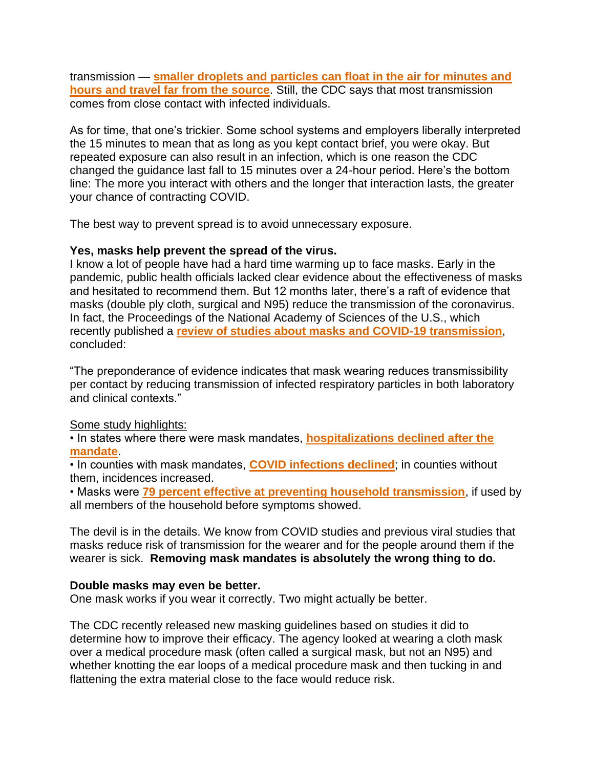transmission — **[smaller droplets and particles can float in the air for minutes and](https://go.mdvip.com/ol/h0lWcMXKdlhd6Bcmud-tEvi7y3iXKMj47vEwRKG1hpxplFhsfeiCdQy93IQBScV0aPqZCAZNQ9ZlyQgFSqaGct0QvPBUDxynVjL8j7PUPd8cJOdT2tRy-uar3XRDv9SGzw2YXhZcEiQqZw6YarQTkTC6YclzCVTSrD3ELZMxnXVOw_s,/j0FRdsPKLVlNoVdlsbPWNb760TbEedavtKoyCvj03cE_z0FsZ_-AahG-0Z5fH50kKuSREwdfAJNoxQJME-acf81C6PxYDQyhWSnszaLVecAcP7xn0c0-8qOx53QKoYCvtn3VJXogdURPNB6zY44BpRzBZ5tyVDeR21blJqwhmB4mgYU98pubKZKnoyD2wHDCxCaMYEFKx_u_7lW4I4s7tvU172h24HsMc_HUyBSf6YQTmxVv5-EvijFs1e9bAu95xTbQWBHWy7ChZM5BW7SiubXUlfR4eBIv3Ys0a0WGAUmk)  [hours and travel far from the source](https://go.mdvip.com/ol/h0lWcMXKdlhd6Bcmud-tEvi7y3iXKMj47vEwRKG1hpxplFhsfeiCdQy93IQBScV0aPqZCAZNQ9ZlyQgFSqaGct0QvPBUDxynVjL8j7PUPd8cJOdT2tRy-uar3XRDv9SGzw2YXhZcEiQqZw6YarQTkTC6YclzCVTSrD3ELZMxnXVOw_s,/j0FRdsPKLVlNoVdlsbPWNb760TbEedavtKoyCvj03cE_z0FsZ_-AahG-0Z5fH50kKuSREwdfAJNoxQJME-acf81C6PxYDQyhWSnszaLVecAcP7xn0c0-8qOx53QKoYCvtn3VJXogdURPNB6zY44BpRzBZ5tyVDeR21blJqwhmB4mgYU98pubKZKnoyD2wHDCxCaMYEFKx_u_7lW4I4s7tvU172h24HsMc_HUyBSf6YQTmxVv5-EvijFs1e9bAu95xTbQWBHWy7ChZM5BW7SiubXUlfR4eBIv3Ys0a0WGAUmk)**. Still, the CDC says that most transmission comes from close contact with infected individuals.

As for time, that one's trickier. Some school systems and employers liberally interpreted the 15 minutes to mean that as long as you kept contact brief, you were okay. But repeated exposure can also result in an infection, which is one reason the CDC changed the guidance last fall to 15 minutes over a 24-hour period. Here's the bottom line: The more you interact with others and the longer that interaction lasts, the greater your chance of contracting COVID.

The best way to prevent spread is to avoid unnecessary exposure.

# **Yes, masks help prevent the spread of the virus.**

I know a lot of people have had a hard time warming up to face masks. Early in the pandemic, public health officials lacked clear evidence about the effectiveness of masks and hesitated to recommend them. But 12 months later, there's a raft of evidence that masks (double ply cloth, surgical and N95) reduce the transmission of the coronavirus. In fact, the Proceedings of the National Academy of Sciences of the U.S., which recently published a **[review of studies about masks and COVID-19 transmission](https://go.mdvip.com/ol/h0lWdMPNdlhd6Bcmud-tEvi7y3iXKMj47vEwRKG1hpxplFhsfeiCdQy93IQBScV0aPqZCAZNQ9ZlyQgFSqaGct0QvPBUDxynVjL8j7PUPd8cJOdT2tRy-uar3XRDv9SGzw2YXhZcEiQqZw6YarQTkTC6YcVwB1rToj3ELZMxnXVOw_s,/j01SeM3LI1lNoVdlsbPWNb760SXOe4vmtK56RvTp3Ns711wxI72XdxWgjYEBTcZnM73PUFpPHpt1_xhXEb24WKFZ1sBzPnSRCCPRipD7TqxoJr8i1_V33oWBy0sHruuslmT1LUY-FFB_PFXLXIskrC7lZIAUfDmj_nLFGpVysQo81ZRW3rmBc6KW0FL43nzw3gbaJlwl4-yYyU-VLr97vvJYuXQRx29_VsbZ-jTX6-sDgC9q4uBv2xJ15tclCNt_)**, concluded:

"The preponderance of evidence indicates that mask wearing reduces transmissibility per contact by reducing transmission of infected respiratory particles in both laboratory and clinical contexts."

# Some study highlights:

• In states where there were mask mandates, **[hospitalizations declined after the](https://go.mdvip.com/ol/h0lXdMfIdlhd6Bcmud-tEvi7y3iXKMj47vEwRKG1hpxplFhsfeiCdQy93IQBScV0aPqZCAZNQ9ZlyQgFSqaGct0QvPBUDxynVjL8j7PUPd8cJOdT2tRy-uar3XRDv9SGzw2YXhZcEiQqZw6YarQTkTC6YshwCVDXrD3ELZMxnXVOw_s,/jEBSdsfPLVlNoVdlsbPWNb760TbEedavtKoyBPrxwIAo1kRrf-ncdxa_x8RDU58_MrnOVwdCXZh1zVNLJeOceN1N96INWxe3CgTnxqDXf9ZDeqBMyM5qooWB-Xkpn_O3p3-cEWEEcVBNRSDKY4kHnTvmCJcSbSi3_XP0BKAaugBeqbBT0KehKIaCrGuS11bVtRimAmdwt_DD7giLP7xipMcN61c2u0A_VN_U1zbT07sqqz8y7blwi0hH1NVCFsZ4zhaIWnfkooLzW9d6Tb7vvcbTpdEcQSsCqNU2VWTgCHqSKd2TKClF5zKhsiYTMz9YCDRiMMsnokSkriMJId46Qginmn0z80wb8axQ2qbq4AKzXCjDbSjVix666SSBcao69Eahz80tvS36MiD91s1FQGCEV_DqmWGPH7vrlFg1XtUee-kbe6Gc0aiz3sQX8A3GIQ,,)  [mandate](https://go.mdvip.com/ol/h0lXdMfIdlhd6Bcmud-tEvi7y3iXKMj47vEwRKG1hpxplFhsfeiCdQy93IQBScV0aPqZCAZNQ9ZlyQgFSqaGct0QvPBUDxynVjL8j7PUPd8cJOdT2tRy-uar3XRDv9SGzw2YXhZcEiQqZw6YarQTkTC6YshwCVDXrD3ELZMxnXVOw_s,/jEBSdsfPLVlNoVdlsbPWNb760TbEedavtKoyBPrxwIAo1kRrf-ncdxa_x8RDU58_MrnOVwdCXZh1zVNLJeOceN1N96INWxe3CgTnxqDXf9ZDeqBMyM5qooWB-Xkpn_O3p3-cEWEEcVBNRSDKY4kHnTvmCJcSbSi3_XP0BKAaugBeqbBT0KehKIaCrGuS11bVtRimAmdwt_DD7giLP7xipMcN61c2u0A_VN_U1zbT07sqqz8y7blwi0hH1NVCFsZ4zhaIWnfkooLzW9d6Tb7vvcbTpdEcQSsCqNU2VWTgCHqSKd2TKClF5zKhsiYTMz9YCDRiMMsnokSkriMJId46Qginmn0z80wb8axQ2qbq4AKzXCjDbSjVix666SSBcao69Eahz80tvS36MiD91s1FQGCEV_DqmWGPH7vrlFg1XtUee-kbe6Gc0aiz3sQX8A3GIQ,,)**.

• In counties with mask mandates, **[COVID infections declined](https://go.mdvip.com/ol/h0lXdsbNdlhd6Bcmud-tEvi7y3iXKMj47vEwRKG1hpxplFhsfeiCdQy93IQBScV0aPqZCAZNQ9ZlyQgFSqaGct0QvPBUDxynVjL8j7PUPd8cJOdT2tRy-uar3XRDv9SGzw2YXhZcEiQqZw6YarQTkTC6YcZxClvVrD3ELZMxnXVOw_s,/j05TdczNLVlNoVdlsbPWNb760TbEedavtKoyBPrxwIAo1kRrf-ncdxe2x8RDU58_M7DKVgdCXZh1zVNVEfSqaI9Lp9h5KliebRXKtYKKd6NEQJVS_ec29Pmu7HYkh_mRuV7IP2EKeEhIbTbJSKx412vSBJQLTAHT6kziD6MnlSwnl-wp9Kb7VOG80Fmu5GbtzW2lDGdP15WJ5wS7IZpJiP4jmVABzQkgSNXZ3Gzs5JM8qDYSospehE14-uQkLtN4y0ShTDM,)**; in counties without them, incidences increased.

• Masks were **[79 percent effective at preventing household transmission](https://go.mdvip.com/ol/h0lWcMXGdlhd6Bcmud-tEvi7y3iXKMj47vEwRKG1hpxplFhsfeiCdQy93IQBScV0aPqZCAZNQ9ZlyQgFSqaGct0QvPBUDxynVjL8j7PUPd8cJOdT2tRy-uar3XRDv9SGzw2YXhZcEiQqZw6YarQTkTC6Y8F3CFferD3ELZMxnXVOw_s,/jUlVd8DGLVlNoVdlsbPWJaGjnTjKNJuntvN-Bvny18Eqlh0xJ6PKaBG934oFQ5s4buyHXFZDRpIwwVoPSOWWLdcQovBeDRTrXW2v1POPPNwcIu0q3sQxqv7wiWRDq9CSyVfJEFsXUHQ-ORKbVrYwlzjkI5giGQKK6iDMPpMciCcD2JAg94uHSJ2BzlDw7WrM3RSvFXcq7ve881qFW698t84k6k0SygElLMjX7RLE0640qjNi5-RvpR1FpdJQOuRmtAq7TR756ZXuS-Z3D7GRm9X967A_PB0IstYeYUDTLAy-A7O5bANpxhGUlWcWBjJ5YD1RHdA6nRvYkF97bsc7aBWBu3k76mUQ9Il4-N7z4CSlflnHGzPVoxSd5QuYEKUL8iCziIdzsx_jNSv9_btzZmabKvLWqGGiF73vjxEdHPRid84DCJ2xkdWF8uYP8zfZbke5x9OCNz4KIoAm_dWorcOB8f-QnnDVn2U-owRcdip3_HfHZKqkRws15Q,,)**, if used by all members of the household before symptoms showed.

The devil is in the details. We know from COVID studies and previous viral studies that masks reduce risk of transmission for the wearer and for the people around them if the wearer is sick. **Removing mask mandates is absolutely the wrong thing to do.**

# **Double masks may even be better.**

One mask works if you wear it correctly. Two might actually be better.

The CDC recently released new masking guidelines based on studies it did to determine how to improve their efficacy. The agency looked at wearing a cloth mask over a medical procedure mask (often called a surgical mask, but not an N95) and whether knotting the ear loops of a medical procedure mask and then tucking in and flattening the extra material close to the face would reduce risk.